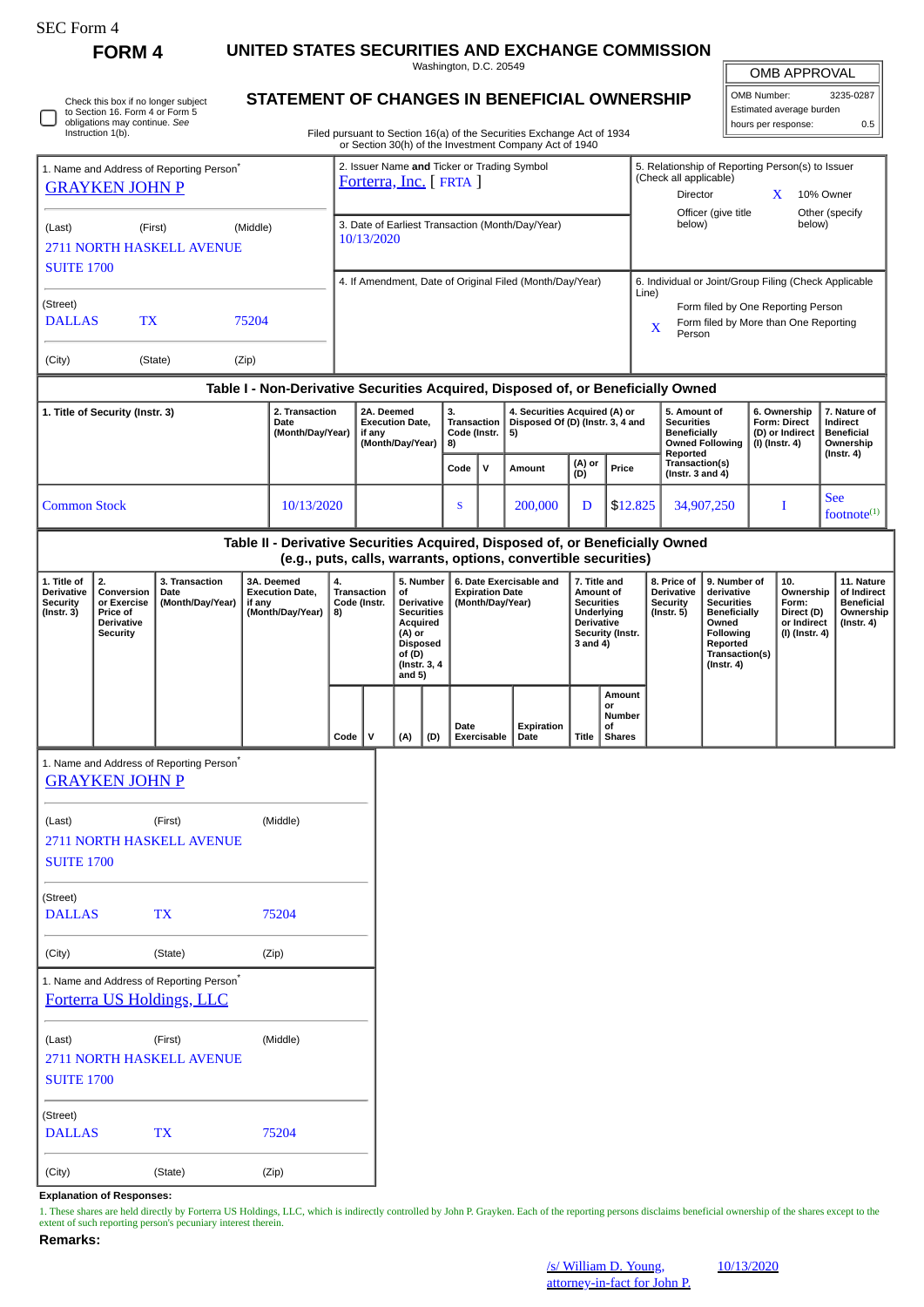**FORM 4 UNITED STATES SECURITIES AND EXCHANGE COMMISSION**

Washington, D.C. 20549

OMB APPROVAL

 $\mathbb{I}$ 

| OMB Number:              | 3235-0287 |
|--------------------------|-----------|
| Estimated average burden |           |
| hours per response:      | 0 5       |

Check this box if no longer subject to Section 16. Form 4 or Form 5 obligations may continue. *See* Instruction 1(b).

## **STATEMENT OF CHANGES IN BENEFICIAL OWNERSHIP**

Filed pursuant to Section 16(a) of the Securities Exchange Act of 1934 or Section 30(h) of the Investment Company Act of 1940

| 1. Name and Address of Reporting Person <sup>7</sup><br><b>GRAYKEN JOHN P</b><br>(Middle)<br>(Last)<br>(First)<br><b>2711 NORTH HASKELL AVENUE</b> |                                                                                     |                                                                       |                                                                                  |            | 2. Issuer Name and Ticker or Trading Symbol<br>Forterra, Inc. [FRTA ]<br>3. Date of Earliest Transaction (Month/Day/Year)<br>10/13/2020 |                                                                    |                                                                                                                                   |                                                |                                                                       |                                                                                                    |                                                                                                                          | 5. Relationship of Reporting Person(s) to Issuer<br>(Check all applicable)<br>Director<br>10% Owner<br>X<br>Officer (give title<br>Other (specify |          |                                                                                    |                                                                                                                                          |                                                                   |                                                                          |                                                                                 |
|----------------------------------------------------------------------------------------------------------------------------------------------------|-------------------------------------------------------------------------------------|-----------------------------------------------------------------------|----------------------------------------------------------------------------------|------------|-----------------------------------------------------------------------------------------------------------------------------------------|--------------------------------------------------------------------|-----------------------------------------------------------------------------------------------------------------------------------|------------------------------------------------|-----------------------------------------------------------------------|----------------------------------------------------------------------------------------------------|--------------------------------------------------------------------------------------------------------------------------|---------------------------------------------------------------------------------------------------------------------------------------------------|----------|------------------------------------------------------------------------------------|------------------------------------------------------------------------------------------------------------------------------------------|-------------------------------------------------------------------|--------------------------------------------------------------------------|---------------------------------------------------------------------------------|
|                                                                                                                                                    |                                                                                     |                                                                       |                                                                                  |            |                                                                                                                                         |                                                                    |                                                                                                                                   |                                                |                                                                       |                                                                                                    |                                                                                                                          |                                                                                                                                                   | below)   |                                                                                    | below)                                                                                                                                   |                                                                   |                                                                          |                                                                                 |
| <b>SUITE 1700</b>                                                                                                                                  |                                                                                     |                                                                       |                                                                                  |            |                                                                                                                                         |                                                                    |                                                                                                                                   |                                                |                                                                       | 4. If Amendment, Date of Original Filed (Month/Day/Year)                                           |                                                                                                                          |                                                                                                                                                   |          |                                                                                    |                                                                                                                                          |                                                                   |                                                                          | 6. Individual or Joint/Group Filing (Check Applicable                           |
| (Street)<br><b>DALLAS</b><br>TX<br>75204                                                                                                           |                                                                                     |                                                                       |                                                                                  |            |                                                                                                                                         |                                                                    |                                                                                                                                   |                                                |                                                                       |                                                                                                    |                                                                                                                          | Line)<br>Form filed by One Reporting Person<br>Form filed by More than One Reporting<br>X<br>Person                                               |          |                                                                                    |                                                                                                                                          |                                                                   |                                                                          |                                                                                 |
| (City)                                                                                                                                             | (State)<br>(Zip)                                                                    |                                                                       |                                                                                  |            |                                                                                                                                         |                                                                    |                                                                                                                                   |                                                |                                                                       |                                                                                                    |                                                                                                                          |                                                                                                                                                   |          |                                                                                    |                                                                                                                                          |                                                                   |                                                                          |                                                                                 |
|                                                                                                                                                    |                                                                                     |                                                                       | Table I - Non-Derivative Securities Acquired, Disposed of, or Beneficially Owned |            |                                                                                                                                         |                                                                    |                                                                                                                                   |                                                |                                                                       |                                                                                                    |                                                                                                                          |                                                                                                                                                   |          |                                                                                    |                                                                                                                                          |                                                                   |                                                                          |                                                                                 |
| 1. Title of Security (Instr. 3)                                                                                                                    |                                                                                     |                                                                       | 2. Transaction<br>Date<br>(Month/Day/Year)                                       |            |                                                                                                                                         | 2A. Deemed<br><b>Execution Date,</b><br>if any<br>(Month/Day/Year) |                                                                                                                                   | 3.<br><b>Transaction</b><br>Code (Instr.<br>8) |                                                                       | 4. Securities Acquired (A) or<br>Disposed Of (D) (Instr. 3, 4 and<br>5)<br>(A) or<br>(D)<br>Amount |                                                                                                                          |                                                                                                                                                   |          | 5. Amount of<br><b>Securities</b><br><b>Beneficially</b><br><b>Owned Following</b> |                                                                                                                                          | 6. Ownership<br>Form: Direct<br>(D) or Indirect<br>(I) (Instr. 4) |                                                                          | 7. Nature of<br>Indirect<br><b>Beneficial</b><br>Ownership<br>$($ Instr. 4 $)$  |
|                                                                                                                                                    |                                                                                     |                                                                       |                                                                                  |            |                                                                                                                                         |                                                                    |                                                                                                                                   | Code                                           | $\mathsf{v}$                                                          |                                                                                                    |                                                                                                                          | Price                                                                                                                                             |          | Reported<br>Transaction(s)<br>(Instr. 3 and 4)                                     |                                                                                                                                          |                                                                   |                                                                          |                                                                                 |
|                                                                                                                                                    | <b>Common Stock</b>                                                                 |                                                                       |                                                                                  | 10/13/2020 |                                                                                                                                         |                                                                    |                                                                                                                                   | S                                              |                                                                       | 200,000                                                                                            | D                                                                                                                        |                                                                                                                                                   | \$12.825 |                                                                                    | 34,907,250                                                                                                                               |                                                                   | I                                                                        | <b>See</b><br>footnot $e^{(1)}$                                                 |
|                                                                                                                                                    |                                                                                     |                                                                       | Table II - Derivative Securities Acquired, Disposed of, or Beneficially Owned    |            |                                                                                                                                         |                                                                    |                                                                                                                                   |                                                |                                                                       | (e.g., puts, calls, warrants, options, convertible securities)                                     |                                                                                                                          |                                                                                                                                                   |          |                                                                                    |                                                                                                                                          |                                                                   |                                                                          |                                                                                 |
| 1. Title of<br><b>Derivative</b><br><b>Security</b><br>$($ Instr. $3)$                                                                             | 2.<br>Conversion<br>or Exercise<br>Price of<br><b>Derivative</b><br><b>Security</b> | 3. Transaction<br>Date<br>(Month/Day/Year)                            | 3A. Deemed<br><b>Execution Date,</b><br>if any<br>(Month/Day/Year)               |            | 4.<br>Transaction<br>Code (Instr.<br>8)                                                                                                 |                                                                    | 5. Number<br>of<br>Derivative<br><b>Securities</b><br>Acquired<br>(A) or<br><b>Disposed</b><br>of (D)<br>(Instr. 3, 4<br>and $5)$ |                                                | 6. Date Exercisable and<br><b>Expiration Date</b><br>(Month/Day/Year) |                                                                                                    | 7. Title and<br>Amount of<br><b>Securities</b><br>Underlying<br><b>Derivative</b><br><b>Security (Instr.</b><br>3 and 4) |                                                                                                                                                   |          | 8. Price of<br>Derivative<br><b>Security</b><br>$($ Instr. 5 $)$                   | 9. Number of<br>derivative<br><b>Securities</b><br><b>Beneficially</b><br>Owned<br>Following<br>Reported<br>Transaction(s)<br>(Instr. 4) |                                                                   | 10.<br>Ownership<br>Form:<br>Direct (D)<br>or Indirect<br>(I) (Instr. 4) | 11. Nature<br>of Indirect<br><b>Beneficial</b><br>Ownership<br>$($ Instr. 4 $)$ |
|                                                                                                                                                    |                                                                                     |                                                                       |                                                                                  |            | V<br>Code                                                                                                                               |                                                                    | (A)<br>(D)                                                                                                                        | Date                                           | Exercisable                                                           | Expiration<br>Date                                                                                 | Title                                                                                                                    | Amount<br>or<br>Number<br>οf<br><b>Shares</b>                                                                                                     |          |                                                                                    |                                                                                                                                          |                                                                   |                                                                          |                                                                                 |
|                                                                                                                                                    | <b>GRAYKEN JOHN P</b>                                                               | 1. Name and Address of Reporting Person <sup>7</sup>                  |                                                                                  |            |                                                                                                                                         |                                                                    |                                                                                                                                   |                                                |                                                                       |                                                                                                    |                                                                                                                          |                                                                                                                                                   |          |                                                                                    |                                                                                                                                          |                                                                   |                                                                          |                                                                                 |
| (Last)<br><b>SUITE 1700</b>                                                                                                                        |                                                                                     | (First)<br>2711 NORTH HASKELL AVENUE                                  | (Middle)                                                                         |            |                                                                                                                                         |                                                                    |                                                                                                                                   |                                                |                                                                       |                                                                                                    |                                                                                                                          |                                                                                                                                                   |          |                                                                                    |                                                                                                                                          |                                                                   |                                                                          |                                                                                 |
| (Street)<br><b>DALLAS</b>                                                                                                                          |                                                                                     | <b>TX</b>                                                             | 75204                                                                            |            |                                                                                                                                         |                                                                    |                                                                                                                                   |                                                |                                                                       |                                                                                                    |                                                                                                                          |                                                                                                                                                   |          |                                                                                    |                                                                                                                                          |                                                                   |                                                                          |                                                                                 |
| (City)                                                                                                                                             |                                                                                     | (State)                                                               | (Zip)                                                                            |            |                                                                                                                                         |                                                                    |                                                                                                                                   |                                                |                                                                       |                                                                                                    |                                                                                                                          |                                                                                                                                                   |          |                                                                                    |                                                                                                                                          |                                                                   |                                                                          |                                                                                 |
|                                                                                                                                                    |                                                                                     | 1. Name and Address of Reporting Person*<br>Forterra US Holdings, LLC |                                                                                  |            |                                                                                                                                         |                                                                    |                                                                                                                                   |                                                |                                                                       |                                                                                                    |                                                                                                                          |                                                                                                                                                   |          |                                                                                    |                                                                                                                                          |                                                                   |                                                                          |                                                                                 |
| (Last)<br><b>SUITE 1700</b>                                                                                                                        |                                                                                     | (First)<br>2711 NORTH HASKELL AVENUE                                  | (Middle)                                                                         |            |                                                                                                                                         |                                                                    |                                                                                                                                   |                                                |                                                                       |                                                                                                    |                                                                                                                          |                                                                                                                                                   |          |                                                                                    |                                                                                                                                          |                                                                   |                                                                          |                                                                                 |
| (Street)<br><b>DALLAS</b>                                                                                                                          |                                                                                     | <b>TX</b>                                                             | 75204                                                                            |            |                                                                                                                                         |                                                                    |                                                                                                                                   |                                                |                                                                       |                                                                                                    |                                                                                                                          |                                                                                                                                                   |          |                                                                                    |                                                                                                                                          |                                                                   |                                                                          |                                                                                 |
| (City)                                                                                                                                             |                                                                                     | (State)                                                               | (Zip)                                                                            |            |                                                                                                                                         |                                                                    |                                                                                                                                   |                                                |                                                                       |                                                                                                    |                                                                                                                          |                                                                                                                                                   |          |                                                                                    |                                                                                                                                          |                                                                   |                                                                          |                                                                                 |

**Explanation of Responses:**

1. These shares are held directly by Forterra US Holdings, LLC, which is indirectly controlled by John P. Grayken. Each of the reporting persons disclaims beneficial ownership of the shares except to the extent of such reporting person's pecuniary interest therein.

## **Remarks:**

10/13/2020